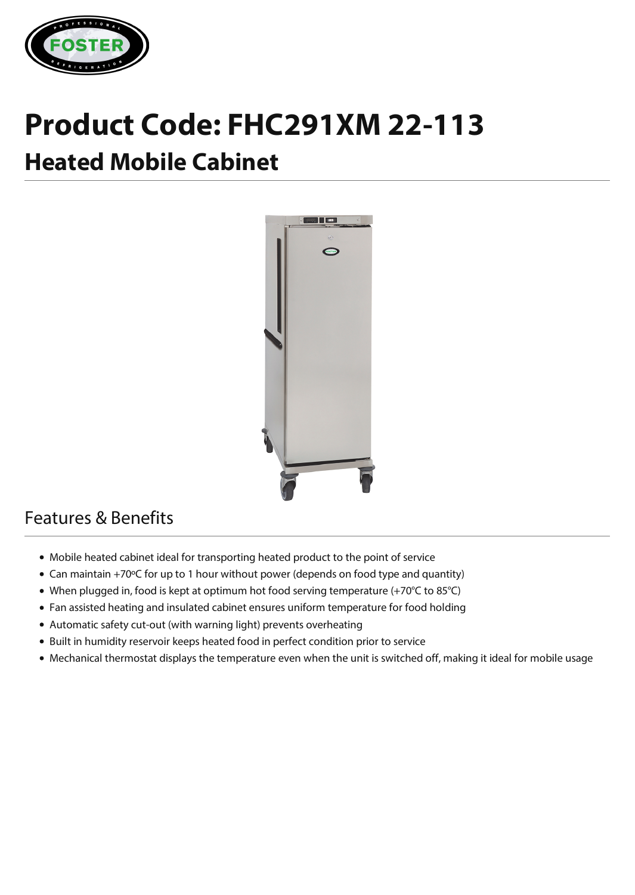

# **Product Code: FHC291XM 22-113 Heated Mobile Cabinet**



## Features & Benefits

- Mobile heated cabinet ideal for transporting heated product to the point of service
- Can maintain +70ºC for up to 1 hour without power (depends on food type and quantity)
- When plugged in, food is kept at optimum hot food serving temperature (+70°C to 85°C)
- Fan assisted heating and insulated cabinet ensures uniform temperature for food holding
- Automatic safety cut-out (with warning light) prevents overheating
- Built in humidity reservoir keeps heated food in perfect condition prior to service
- Mechanical thermostat displays the temperature even when the unit is switched off, making it ideal for mobile usage